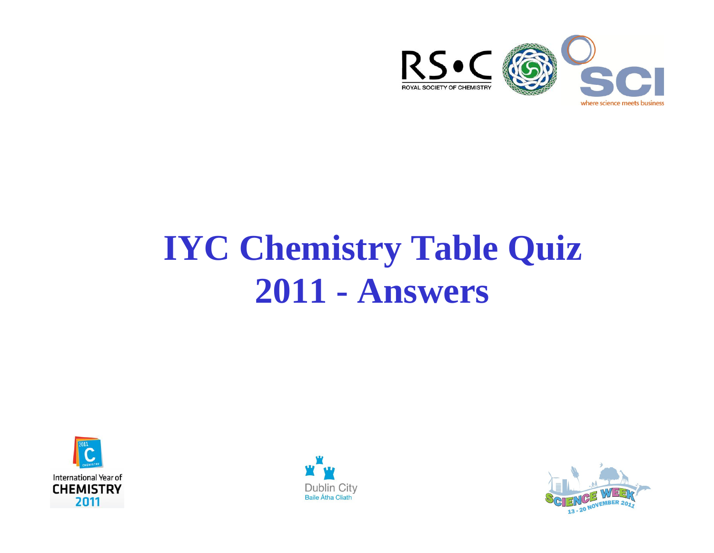

# **IYC Chemistry Table Quiz 2011 - Answers**





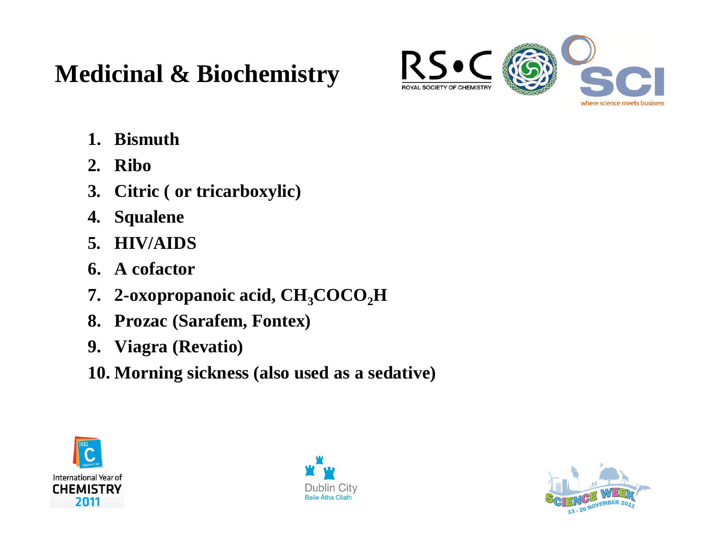#### **Medicinal & Biochemistry**



- **1. Bismuth**
- **2. Ribo**
- **3. Citric ( or tricarboxylic)**
- **4. Squalene**
- **5. HIV/AIDS**
- **6. A cofactor**
- **7. 2-oxopropanoic acid, CH3COCO2H**
- **8. Prozac (Sarafem, Fontex)**
- **9. Viagra (Revatio)**
- **10. Morning sickness (also used as a sedative)**





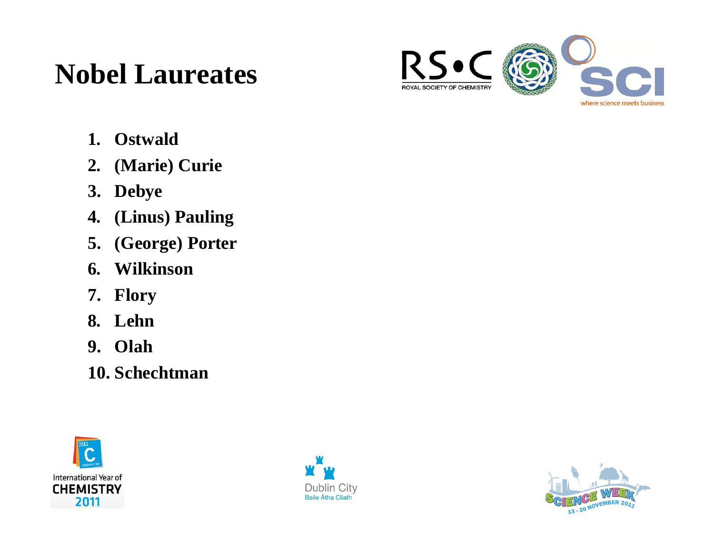## **Nobel Laureates**



- **1. Ostwald**
- **2. (Marie) Curie**
- **3. Debye**
- **4. (Linus) Pauling**
- **5. (George) Porter**
- **6. Wilkinson**
- **7. Flory**
- **8. Lehn**
- **9. Olah**
- **10. Schechtman**





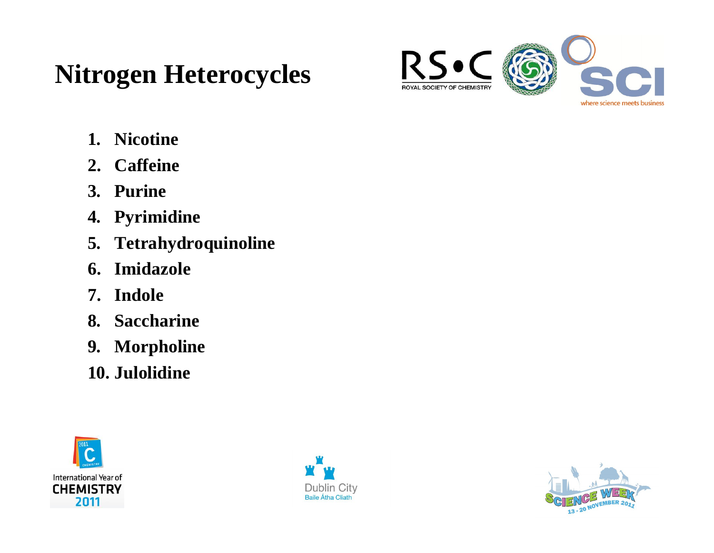### **Nitrogen Heterocycles**



- **1. Nicotine**
- **2. Caffeine**
- **3. Purine**
- **4. Pyrimidine**
- **5. Tetrahydroquinoline**
- **6. Imidazole**
- **7. Indole**
- **8. Saccharine**
- **9. Morpholine**
- **10. Julolidine**





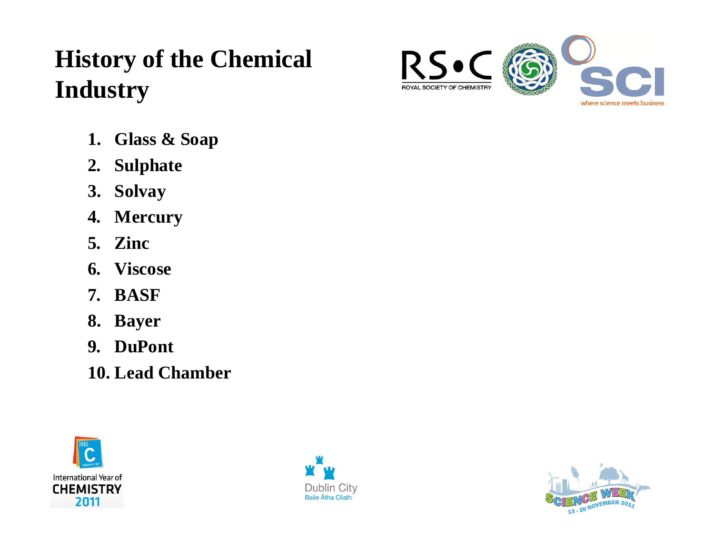### **History of the Chemical Industry**

- **1. Glass & Soap**
- **2. Sulphate**
- **3. Solvay**
- **4. Mercury**
- **5. Zinc**
- **6. Viscose**
- **7. BASF**
- **8. Bayer**
- **9. DuPont**
- **10. Lead Chamber**







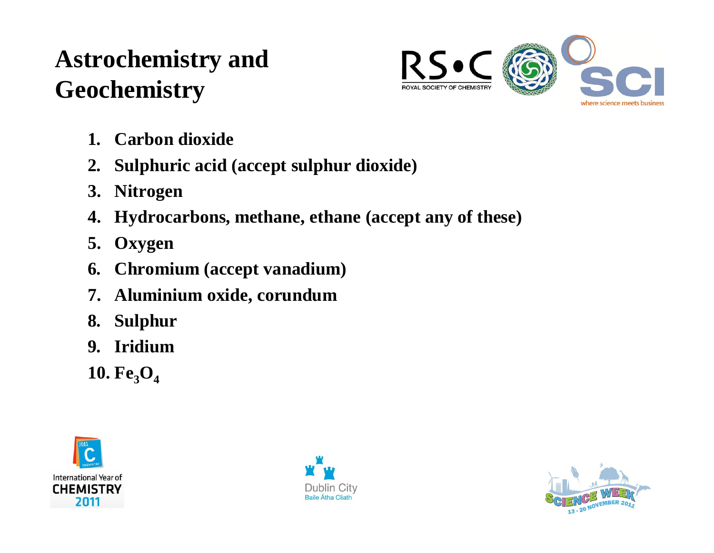### **Astrochemistry and Geochemistry**



- **1. Carbon dioxide**
- **2. Sulphuric acid (accept sulphur dioxide)**
- **3. Nitrogen**
- **4. Hydrocarbons, methane, ethane (accept any of these)**
- **5. Oxygen**
- **6. Chromium (accept vanadium)**
- **7. Aluminium oxide, corundum**
- **8. Sulphur**
- **9. Iridium**
- 10.  $Fe<sub>3</sub>O<sub>4</sub>$





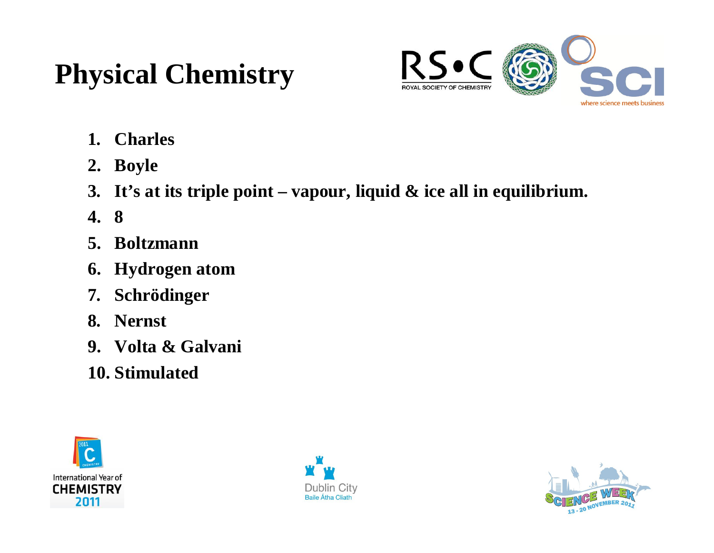# **Physical Chemistry**



- **1. Charles**
- **2. Boyle**
- **3. It's at its triple point vapour, liquid & ice all in equilibrium.**
- **4. 8**
- **5. Boltzmann**
- **6. Hydrogen atom**
- **7. Schrödinger**
- **8. Nernst**
- **9. Volta & Galvani**
- **10. Stimulated**





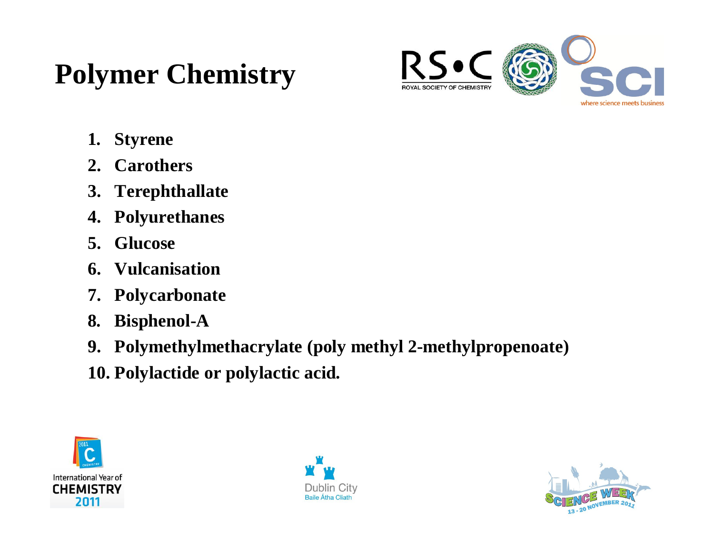# **Polymer Chemistry**



- **1. Styrene**
- **2. Carothers**
- **3. Terephthallate**
- **4. Polyurethanes**
- **5. Glucose**
- **6. Vulcanisation**
- **7. Polycarbonate**
- **8. Bisphenol-A**
- **9. Polymethylmethacrylate (poly methyl 2-methylpropenoate)**
- **10. Polylactide or polylactic acid.**





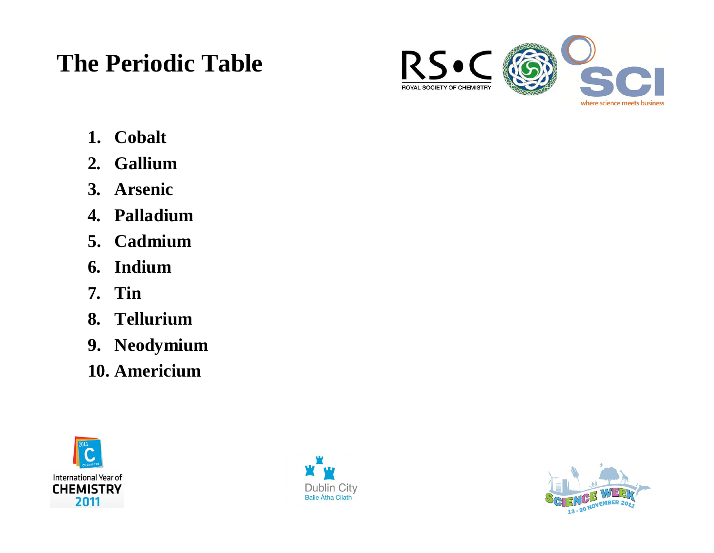#### **The Periodic Table**



- **1. Cobalt**
- **2. Gallium**
- **3. Arsenic**
- **4. Palladium**
- **5. Cadmium**
- **6. Indium**
- **7. Tin**
- **8. Tellurium**
- **9. Neodymium**
- **10. Americium**





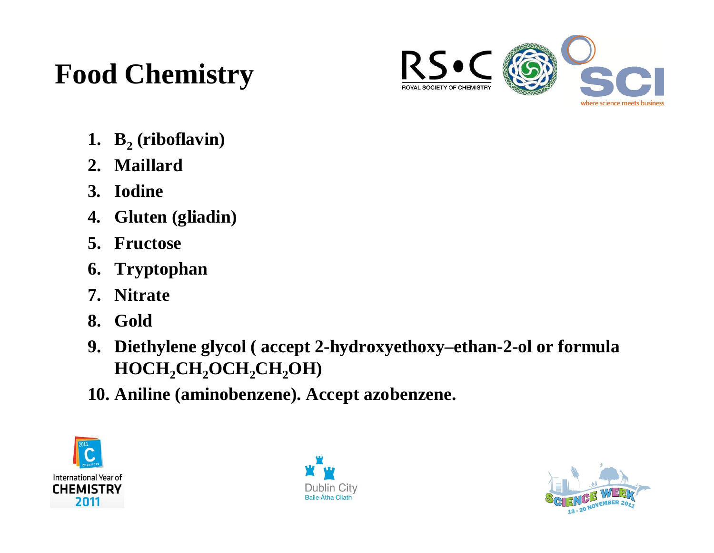# **Food Chemistry**



- **1. B<sup>2</sup> (riboflavin)**
- **2. Maillard**
- **3. Iodine**
- **4. Gluten (gliadin)**
- **5. Fructose**
- **6. Tryptophan**
- **7. Nitrate**
- **8. Gold**
- **9. Diethylene glycol ( accept 2-hydroxyethoxy–ethan-2-ol or formula HOCH2CH2OCH2CH2OH)**
- **10. Aniline (aminobenzene). Accept azobenzene.**